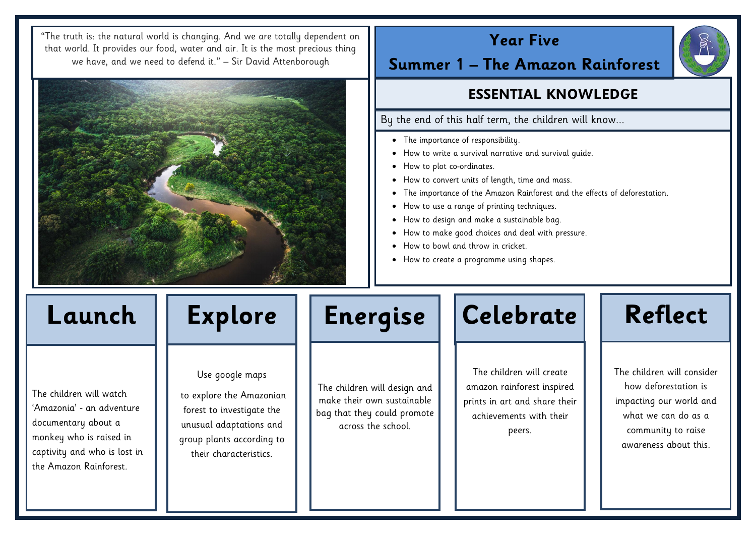# **Year Five**

**Summer 1 – The Amazon Rainforest**

# **ESSENTIAL KNOWLEDGE**

By the end of this half term, the children will know...

- The importance of responsibility.
- How to write a survival narrative and survival guide.
- How to plot co-ordinates.
- How to convert units of length, time and mass.
- The importance of the Amazon Rainforest and the effects of deforestation.
- How to use a range of printing techniques.
- How to design and make a sustainable bag.
- How to make good choices and deal with pressure.
- How to bowl and throw in cricket.
- How to create a programme using shapes.

The children will watch 'Amazonia' - an adventure documentary about a monkey who is raised in captivity and who is lost in the Amazon Rainforest.

Use google maps

to explore the Amazonian forest to investigate the unusual adaptations and group plants according to their characteristics.

The children will design and make their own sustainable bag that they could promote across the school.



The children will create amazon rainforest inspired prints in art and share their achievements with their peers.



"The truth is: the natural world is changing. And we are totally dependent on that world. It provides our food, water and air. It is the most precious thing we have, and we need to defend it." – Sir David Attenborough